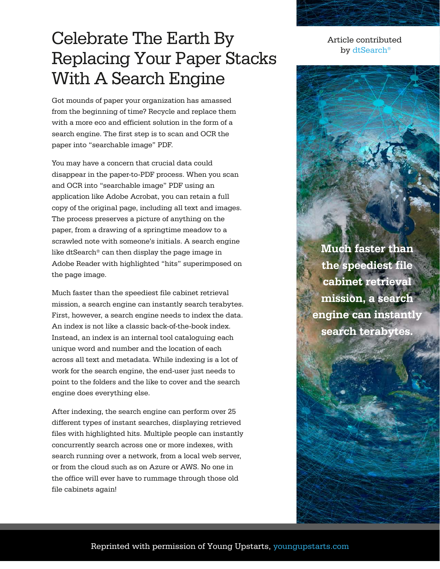## Celebrate The Earth By Replacing Your Paper Stacks With A Search Engine

Got mounds of paper your organization has amassed from the beginning of time? Recycle and replace them with a more eco and efficient solution in the form of a search engine. The first step is to scan and OCR the paper into "searchable image" PDF.

You may have a concern that crucial data could disappear in the paper-to-PDF process. When you scan and OCR into "searchable image" PDF using an application like Adobe Acrobat, you can retain a full copy of the original page, including all text and images. The process preserves a picture of anything on the paper, from a drawing of a springtime meadow to a scrawled note with someone's initials. A search engine like dtSearch® can then display the page image in Adobe Reader with highlighted "hits" superimposed on the page image.

Much faster than the speediest file cabinet retrieval mission, a search engine can instantly search terabytes. First, however, a search engine needs to index the data. An index is not like a classic back-of-the-book index. Instead, an index is an internal tool cataloguing each unique word and number and the location of each across all text and metadata. While indexing is a lot of work for the search engine, the end-user just needs to point to the folders and the like to cover and the search engine does everything else.

After indexing, the search engine can perform over 25 different types of instant searches, displaying retrieved files with highlighted hits. Multiple people can instantly concurrently search across one or more indexes, with search running over a network, from a local web server, or from the cloud such as on Azure or AWS. No one in the office will ever have to rummage through those old file cabinets again!

Article contributed by [dtSearch](https://www.dtsearch.com/)®

**Much faster than the speediest file cabinet retrieval mission, a search engine can instantly search terabytes.**